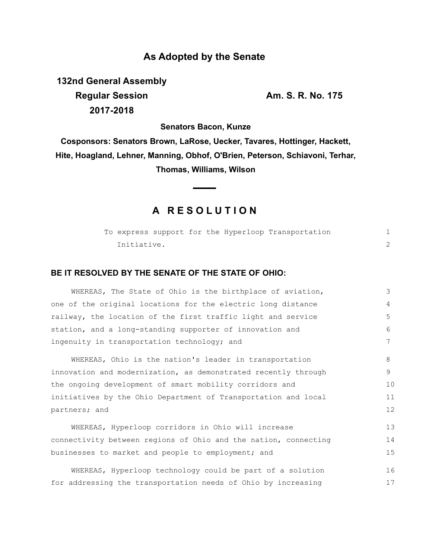# **As Adopted by the Senate**

**132nd General Assembly Regular Session Am. S. R. No. 175 2017-2018**

**Senators Bacon, Kunze**

**Cosponsors: Senators Brown, LaRose, Uecker, Tavares, Hottinger, Hackett, Hite, Hoagland, Lehner, Manning, Obhof, O'Brien, Peterson, Schiavoni, Terhar, Thomas, Williams, Wilson**

# **A R E S O L U T I O N**

|             |  |  |  |  | To express support for the Hyperloop Transportation |  |  |  |
|-------------|--|--|--|--|-----------------------------------------------------|--|--|--|
| Initiative. |  |  |  |  |                                                     |  |  |  |

### **BE IT RESOLVED BY THE SENATE OF THE STATE OF OHIO:**

WHEREAS, The State of Ohio is the birthplace of aviation, one of the original locations for the electric long distance railway, the location of the first traffic light and service station, and a long-standing supporter of innovation and ingenuity in transportation technology; and 3 4 5 6 7

WHEREAS, Ohio is the nation's leader in transportation innovation and modernization, as demonstrated recently through the ongoing development of smart mobility corridors and initiatives by the Ohio Department of Transportation and local partners; and 8 9 10 11 12

WHEREAS, Hyperloop corridors in Ohio will increase connectivity between regions of Ohio and the nation, connecting businesses to market and people to employment; and 13 14 15

|  | WHEREAS, Hyperloop technology could be part of a solution     |  |  |  | 16 |
|--|---------------------------------------------------------------|--|--|--|----|
|  | for addressing the transportation needs of Ohio by increasing |  |  |  | 17 |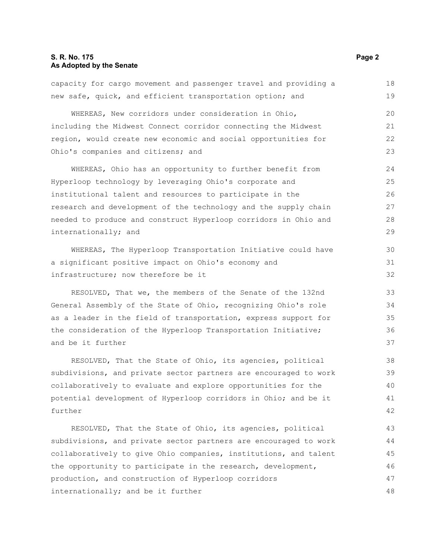### **S. R. No. 175 Page 2 As Adopted by the Senate**

#### capacity for cargo movement and passenger travel and providing a new safe, quick, and efficient transportation option; and WHEREAS, New corridors under consideration in Ohio, including the Midwest Connect corridor connecting the Midwest region, would create new economic and social opportunities for Ohio's companies and citizens; and WHEREAS, Ohio has an opportunity to further benefit from Hyperloop technology by leveraging Ohio's corporate and institutional talent and resources to participate in the research and development of the technology and the supply chain needed to produce and construct Hyperloop corridors in Ohio and internationally; and WHEREAS, The Hyperloop Transportation Initiative could have a significant positive impact on Ohio's economy and infrastructure; now therefore be it RESOLVED, That we, the members of the Senate of the 132nd General Assembly of the State of Ohio, recognizing Ohio's role as a leader in the field of transportation, express support for the consideration of the Hyperloop Transportation Initiative; and be it further RESOLVED, That the State of Ohio, its agencies, political subdivisions, and private sector partners are encouraged to work collaboratively to evaluate and explore opportunities for the potential development of Hyperloop corridors in Ohio; and be it further RESOLVED, That the State of Ohio, its agencies, political subdivisions, and private sector partners are encouraged to work collaboratively to give Ohio companies, institutions, and talent the opportunity to participate in the research, development, production, and construction of Hyperloop corridors internationally; and be it further 18 19 20 21 22 23 24 25 26 27 28 29 30 31 32 33 34 35 36 37 38 39 40 41 42 43 44 45 46 47 48